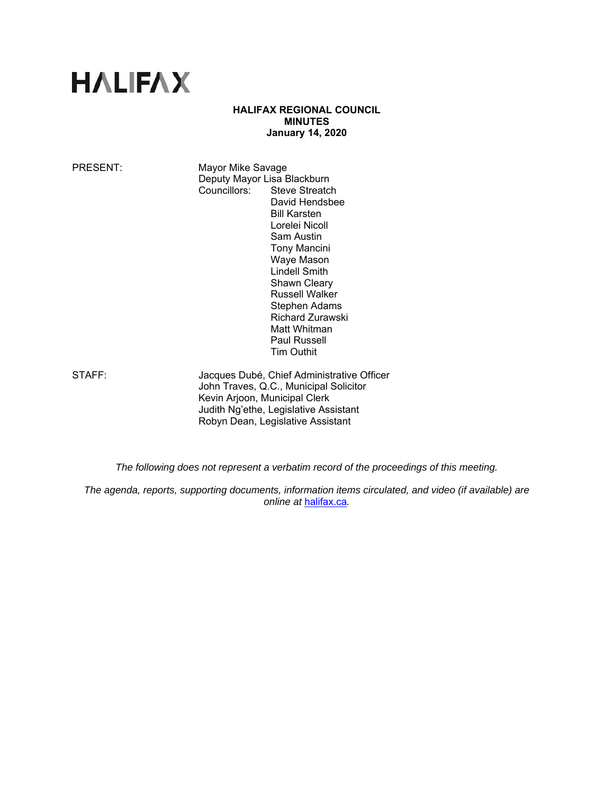# **HALIFAX**

# **HALIFAX REGIONAL COUNCIL MINUTES January 14, 2020**

PRESENT: Mayor Mike Savage Deputy Mayor Lisa Blackburn<br>Councillors: Steve Streatcl Steve Streatch David Hendsbee Bill Karsten Lorelei Nicoll Sam Austin Tony Mancini Waye Mason Lindell Smith Shawn Cleary Russell Walker Stephen Adams Richard Zurawski Matt Whitman Paul Russell Tim Outhit

STAFF: Jacques Dubé, Chief Administrative Officer John Traves, Q.C., Municipal Solicitor Kevin Arjoon, Municipal Clerk Judith Ng'ethe, Legislative Assistant Robyn Dean, Legislative Assistant

*The following does not represent a verbatim record of the proceedings of this meeting.* 

*The agenda, reports, supporting documents, information items circulated, and video (if available) are online at* halifax.ca*.*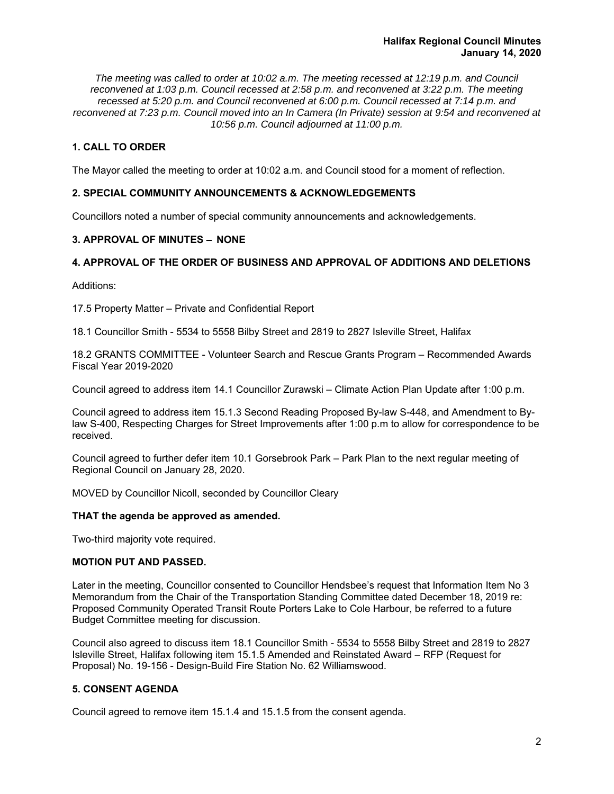*The meeting was called to order at 10:02 a.m. The meeting recessed at 12:19 p.m. and Council reconvened at 1:03 p.m. Council recessed at 2:58 p.m. and reconvened at 3:22 p.m. The meeting recessed at 5:20 p.m. and Council reconvened at 6:00 p.m. Council recessed at 7:14 p.m. and reconvened at 7:23 p.m. Council moved into an In Camera (In Private) session at 9:54 and reconvened at 10:56 p.m. Council adjourned at 11:00 p.m.*

# **1. CALL TO ORDER**

The Mayor called the meeting to order at 10:02 a.m. and Council stood for a moment of reflection.

# **2. SPECIAL COMMUNITY ANNOUNCEMENTS & ACKNOWLEDGEMENTS**

Councillors noted a number of special community announcements and acknowledgements.

# **3. APPROVAL OF MINUTES – NONE**

# **4. APPROVAL OF THE ORDER OF BUSINESS AND APPROVAL OF ADDITIONS AND DELETIONS**

Additions:

17.5 Property Matter – Private and Confidential Report

18.1 Councillor Smith - 5534 to 5558 Bilby Street and 2819 to 2827 Isleville Street, Halifax

18.2 GRANTS COMMITTEE - Volunteer Search and Rescue Grants Program – Recommended Awards Fiscal Year 2019-2020

Council agreed to address item 14.1 Councillor Zurawski – Climate Action Plan Update after 1:00 p.m.

Council agreed to address item 15.1.3 Second Reading Proposed By-law S-448, and Amendment to Bylaw S-400, Respecting Charges for Street Improvements after 1:00 p.m to allow for correspondence to be received.

Council agreed to further defer item 10.1 Gorsebrook Park – Park Plan to the next regular meeting of Regional Council on January 28, 2020.

MOVED by Councillor Nicoll, seconded by Councillor Cleary

#### **THAT the agenda be approved as amended.**

Two-third majority vote required.

# **MOTION PUT AND PASSED.**

Later in the meeting, Councillor consented to Councillor Hendsbee's request that Information Item No 3 Memorandum from the Chair of the Transportation Standing Committee dated December 18, 2019 re: Proposed Community Operated Transit Route Porters Lake to Cole Harbour, be referred to a future Budget Committee meeting for discussion.

Council also agreed to discuss item 18.1 Councillor Smith - 5534 to 5558 Bilby Street and 2819 to 2827 Isleville Street, Halifax following item 15.1.5 Amended and Reinstated Award – RFP (Request for Proposal) No. 19-156 - Design-Build Fire Station No. 62 Williamswood.

# **5. CONSENT AGENDA**

Council agreed to remove item 15.1.4 and 15.1.5 from the consent agenda.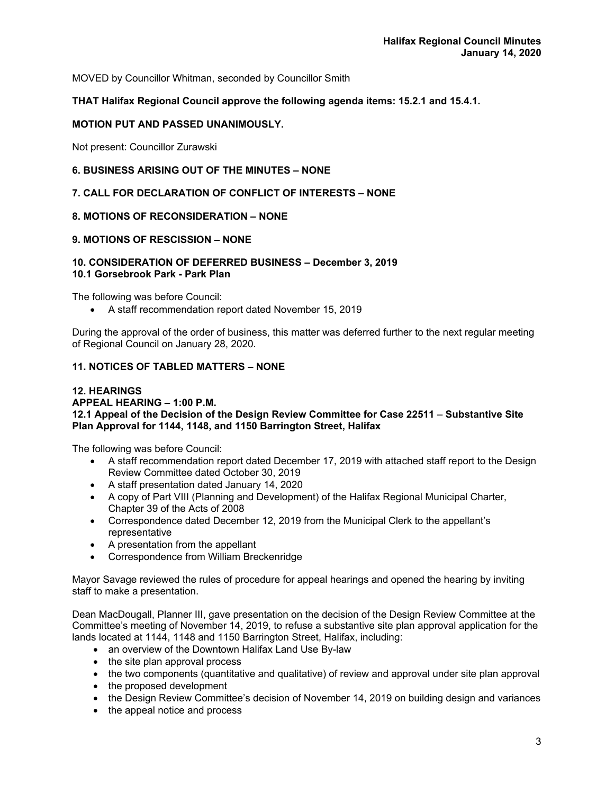MOVED by Councillor Whitman, seconded by Councillor Smith

# **THAT Halifax Regional Council approve the following agenda items: 15.2.1 and 15.4.1.**

# **MOTION PUT AND PASSED UNANIMOUSLY.**

Not present: Councillor Zurawski

# **6. BUSINESS ARISING OUT OF THE MINUTES – NONE**

# **7. CALL FOR DECLARATION OF CONFLICT OF INTERESTS – NONE**

#### **8. MOTIONS OF RECONSIDERATION – NONE**

# **9. MOTIONS OF RESCISSION – NONE**

#### **10. CONSIDERATION OF DEFERRED BUSINESS – December 3, 2019 10.1 Gorsebrook Park - Park Plan**

The following was before Council:

A staff recommendation report dated November 15, 2019

During the approval of the order of business, this matter was deferred further to the next regular meeting of Regional Council on January 28, 2020.

# **11. NOTICES OF TABLED MATTERS – NONE**

#### **12. HEARINGS APPEAL HEARING – 1:00 P.M. 12.1 Appeal of the Decision of the Design Review Committee for Case 22511** – **Substantive Site Plan Approval for 1144, 1148, and 1150 Barrington Street, Halifax**

The following was before Council:

- A staff recommendation report dated December 17, 2019 with attached staff report to the Design Review Committee dated October 30, 2019
- A staff presentation dated January 14, 2020
- A copy of Part VIII (Planning and Development) of the Halifax Regional Municipal Charter, Chapter 39 of the Acts of 2008
- Correspondence dated December 12, 2019 from the Municipal Clerk to the appellant's representative
- A presentation from the appellant
- Correspondence from William Breckenridge

Mayor Savage reviewed the rules of procedure for appeal hearings and opened the hearing by inviting staff to make a presentation.

Dean MacDougall, Planner III, gave presentation on the decision of the Design Review Committee at the Committee's meeting of November 14, 2019, to refuse a substantive site plan approval application for the lands located at 1144, 1148 and 1150 Barrington Street, Halifax, including:

- an overview of the Downtown Halifax Land Use By-law
- the site plan approval process
- the two components (quantitative and qualitative) of review and approval under site plan approval
- the proposed development
- the Design Review Committee's decision of November 14, 2019 on building design and variances
- the appeal notice and process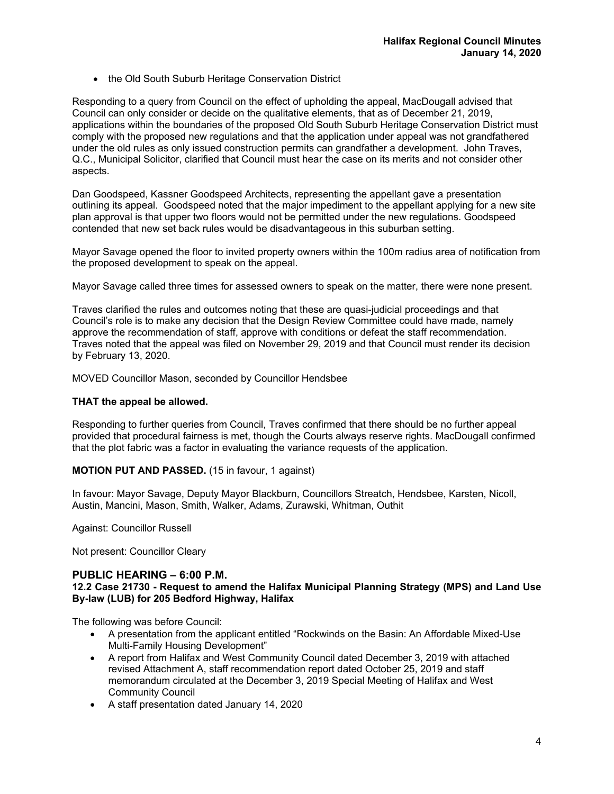• the Old South Suburb Heritage Conservation District

Responding to a query from Council on the effect of upholding the appeal, MacDougall advised that Council can only consider or decide on the qualitative elements, that as of December 21, 2019, applications within the boundaries of the proposed Old South Suburb Heritage Conservation District must comply with the proposed new regulations and that the application under appeal was not grandfathered under the old rules as only issued construction permits can grandfather a development. John Traves, Q.C., Municipal Solicitor, clarified that Council must hear the case on its merits and not consider other aspects.

Dan Goodspeed, Kassner Goodspeed Architects, representing the appellant gave a presentation outlining its appeal. Goodspeed noted that the major impediment to the appellant applying for a new site plan approval is that upper two floors would not be permitted under the new regulations. Goodspeed contended that new set back rules would be disadvantageous in this suburban setting.

Mayor Savage opened the floor to invited property owners within the 100m radius area of notification from the proposed development to speak on the appeal.

Mayor Savage called three times for assessed owners to speak on the matter, there were none present.

Traves clarified the rules and outcomes noting that these are quasi-judicial proceedings and that Council's role is to make any decision that the Design Review Committee could have made, namely approve the recommendation of staff, approve with conditions or defeat the staff recommendation. Traves noted that the appeal was filed on November 29, 2019 and that Council must render its decision by February 13, 2020.

MOVED Councillor Mason, seconded by Councillor Hendsbee

#### **THAT the appeal be allowed.**

Responding to further queries from Council, Traves confirmed that there should be no further appeal provided that procedural fairness is met, though the Courts always reserve rights. MacDougall confirmed that the plot fabric was a factor in evaluating the variance requests of the application.

#### **MOTION PUT AND PASSED.** (15 in favour, 1 against)

In favour: Mayor Savage, Deputy Mayor Blackburn, Councillors Streatch, Hendsbee, Karsten, Nicoll, Austin, Mancini, Mason, Smith, Walker, Adams, Zurawski, Whitman, Outhit

Against: Councillor Russell

Not present: Councillor Cleary

#### **PUBLIC HEARING – 6:00 P.M.**

#### **12.2 Case 21730 - Request to amend the Halifax Municipal Planning Strategy (MPS) and Land Use By-law (LUB) for 205 Bedford Highway, Halifax**

The following was before Council:

- A presentation from the applicant entitled "Rockwinds on the Basin: An Affordable Mixed-Use Multi-Family Housing Development"
- A report from Halifax and West Community Council dated December 3, 2019 with attached revised Attachment A, staff recommendation report dated October 25, 2019 and staff memorandum circulated at the December 3, 2019 Special Meeting of Halifax and West Community Council
- A staff presentation dated January 14, 2020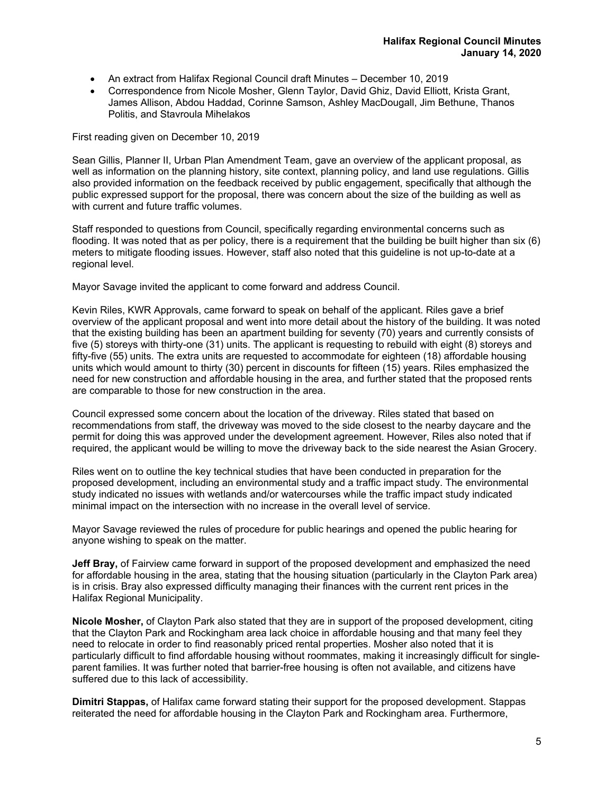- An extract from Halifax Regional Council draft Minutes December 10, 2019
- Correspondence from Nicole Mosher, Glenn Taylor, David Ghiz, David Elliott, Krista Grant, James Allison, Abdou Haddad, Corinne Samson, Ashley MacDougall, Jim Bethune, Thanos Politis, and Stavroula Mihelakos

First reading given on December 10, 2019

Sean Gillis, Planner II, Urban Plan Amendment Team, gave an overview of the applicant proposal, as well as information on the planning history, site context, planning policy, and land use regulations. Gillis also provided information on the feedback received by public engagement, specifically that although the public expressed support for the proposal, there was concern about the size of the building as well as with current and future traffic volumes.

Staff responded to questions from Council, specifically regarding environmental concerns such as flooding. It was noted that as per policy, there is a requirement that the building be built higher than six (6) meters to mitigate flooding issues. However, staff also noted that this guideline is not up-to-date at a regional level.

Mayor Savage invited the applicant to come forward and address Council.

Kevin Riles, KWR Approvals, came forward to speak on behalf of the applicant. Riles gave a brief overview of the applicant proposal and went into more detail about the history of the building. It was noted that the existing building has been an apartment building for seventy (70) years and currently consists of five (5) storeys with thirty-one (31) units. The applicant is requesting to rebuild with eight (8) storeys and fifty-five (55) units. The extra units are requested to accommodate for eighteen (18) affordable housing units which would amount to thirty (30) percent in discounts for fifteen (15) years. Riles emphasized the need for new construction and affordable housing in the area, and further stated that the proposed rents are comparable to those for new construction in the area.

Council expressed some concern about the location of the driveway. Riles stated that based on recommendations from staff, the driveway was moved to the side closest to the nearby daycare and the permit for doing this was approved under the development agreement. However, Riles also noted that if required, the applicant would be willing to move the driveway back to the side nearest the Asian Grocery.

Riles went on to outline the key technical studies that have been conducted in preparation for the proposed development, including an environmental study and a traffic impact study. The environmental study indicated no issues with wetlands and/or watercourses while the traffic impact study indicated minimal impact on the intersection with no increase in the overall level of service.

Mayor Savage reviewed the rules of procedure for public hearings and opened the public hearing for anyone wishing to speak on the matter.

**Jeff Bray,** of Fairview came forward in support of the proposed development and emphasized the need for affordable housing in the area, stating that the housing situation (particularly in the Clayton Park area) is in crisis. Bray also expressed difficulty managing their finances with the current rent prices in the Halifax Regional Municipality.

**Nicole Mosher,** of Clayton Park also stated that they are in support of the proposed development, citing that the Clayton Park and Rockingham area lack choice in affordable housing and that many feel they need to relocate in order to find reasonably priced rental properties. Mosher also noted that it is particularly difficult to find affordable housing without roommates, making it increasingly difficult for singleparent families. It was further noted that barrier-free housing is often not available, and citizens have suffered due to this lack of accessibility.

**Dimitri Stappas,** of Halifax came forward stating their support for the proposed development. Stappas reiterated the need for affordable housing in the Clayton Park and Rockingham area. Furthermore,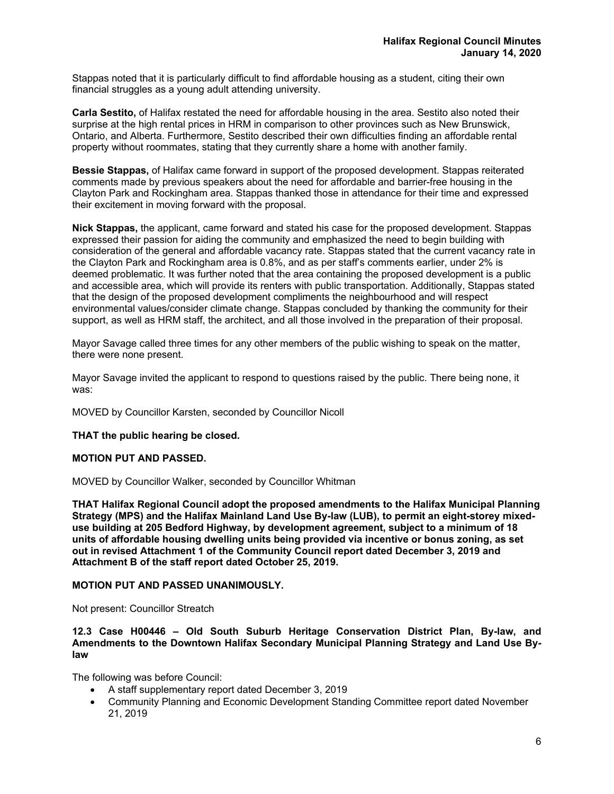Stappas noted that it is particularly difficult to find affordable housing as a student, citing their own financial struggles as a young adult attending university.

**Carla Sestito,** of Halifax restated the need for affordable housing in the area. Sestito also noted their surprise at the high rental prices in HRM in comparison to other provinces such as New Brunswick, Ontario, and Alberta. Furthermore, Sestito described their own difficulties finding an affordable rental property without roommates, stating that they currently share a home with another family.

**Bessie Stappas,** of Halifax came forward in support of the proposed development. Stappas reiterated comments made by previous speakers about the need for affordable and barrier-free housing in the Clayton Park and Rockingham area. Stappas thanked those in attendance for their time and expressed their excitement in moving forward with the proposal.

**Nick Stappas,** the applicant, came forward and stated his case for the proposed development. Stappas expressed their passion for aiding the community and emphasized the need to begin building with consideration of the general and affordable vacancy rate. Stappas stated that the current vacancy rate in the Clayton Park and Rockingham area is 0.8%, and as per staff's comments earlier, under 2% is deemed problematic. It was further noted that the area containing the proposed development is a public and accessible area, which will provide its renters with public transportation. Additionally, Stappas stated that the design of the proposed development compliments the neighbourhood and will respect environmental values/consider climate change. Stappas concluded by thanking the community for their support, as well as HRM staff, the architect, and all those involved in the preparation of their proposal.

Mayor Savage called three times for any other members of the public wishing to speak on the matter, there were none present.

Mayor Savage invited the applicant to respond to questions raised by the public. There being none, it was:

MOVED by Councillor Karsten, seconded by Councillor Nicoll

**THAT the public hearing be closed.** 

#### **MOTION PUT AND PASSED.**

MOVED by Councillor Walker, seconded by Councillor Whitman

**THAT Halifax Regional Council adopt the proposed amendments to the Halifax Municipal Planning Strategy (MPS) and the Halifax Mainland Land Use By-law (LUB), to permit an eight-storey mixeduse building at 205 Bedford Highway, by development agreement, subject to a minimum of 18 units of affordable housing dwelling units being provided via incentive or bonus zoning, as set out in revised Attachment 1 of the Community Council report dated December 3, 2019 and Attachment B of the staff report dated October 25, 2019.** 

#### **MOTION PUT AND PASSED UNANIMOUSLY.**

Not present: Councillor Streatch

**12.3 Case H00446 – Old South Suburb Heritage Conservation District Plan, By-law, and Amendments to the Downtown Halifax Secondary Municipal Planning Strategy and Land Use Bylaw** 

The following was before Council:

- A staff supplementary report dated December 3, 2019
- Community Planning and Economic Development Standing Committee report dated November 21, 2019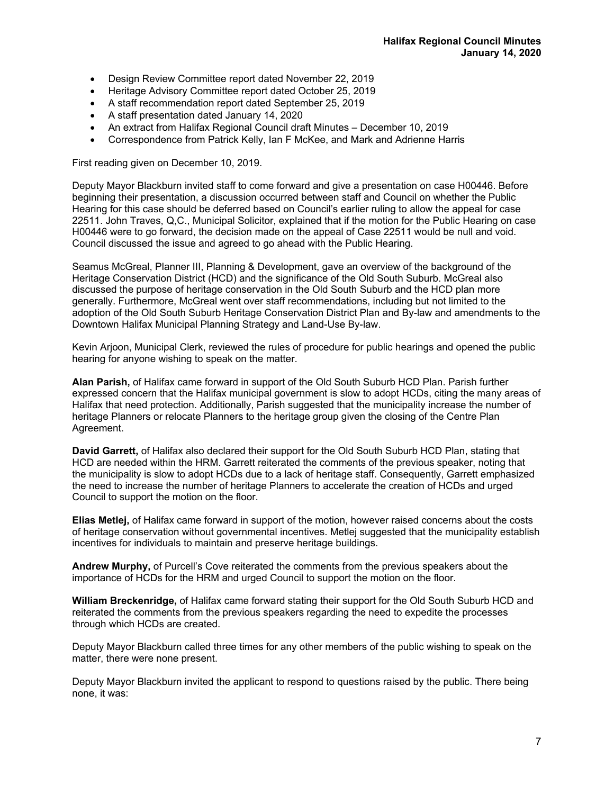- Design Review Committee report dated November 22, 2019
- Heritage Advisory Committee report dated October 25, 2019
- A staff recommendation report dated September 25, 2019
- A staff presentation dated January 14, 2020
- An extract from Halifax Regional Council draft Minutes December 10, 2019
- Correspondence from Patrick Kelly, Ian F McKee, and Mark and Adrienne Harris

First reading given on December 10, 2019.

Deputy Mayor Blackburn invited staff to come forward and give a presentation on case H00446. Before beginning their presentation, a discussion occurred between staff and Council on whether the Public Hearing for this case should be deferred based on Council's earlier ruling to allow the appeal for case 22511. John Traves, Q,C., Municipal Solicitor, explained that if the motion for the Public Hearing on case H00446 were to go forward, the decision made on the appeal of Case 22511 would be null and void. Council discussed the issue and agreed to go ahead with the Public Hearing.

Seamus McGreal, Planner III, Planning & Development, gave an overview of the background of the Heritage Conservation District (HCD) and the significance of the Old South Suburb. McGreal also discussed the purpose of heritage conservation in the Old South Suburb and the HCD plan more generally. Furthermore, McGreal went over staff recommendations, including but not limited to the adoption of the Old South Suburb Heritage Conservation District Plan and By-law and amendments to the Downtown Halifax Municipal Planning Strategy and Land-Use By-law.

Kevin Arjoon, Municipal Clerk, reviewed the rules of procedure for public hearings and opened the public hearing for anyone wishing to speak on the matter.

**Alan Parish,** of Halifax came forward in support of the Old South Suburb HCD Plan. Parish further expressed concern that the Halifax municipal government is slow to adopt HCDs, citing the many areas of Halifax that need protection. Additionally, Parish suggested that the municipality increase the number of heritage Planners or relocate Planners to the heritage group given the closing of the Centre Plan Agreement.

**David Garrett,** of Halifax also declared their support for the Old South Suburb HCD Plan, stating that HCD are needed within the HRM. Garrett reiterated the comments of the previous speaker, noting that the municipality is slow to adopt HCDs due to a lack of heritage staff. Consequently, Garrett emphasized the need to increase the number of heritage Planners to accelerate the creation of HCDs and urged Council to support the motion on the floor.

**Elias Metlej,** of Halifax came forward in support of the motion, however raised concerns about the costs of heritage conservation without governmental incentives. Metlej suggested that the municipality establish incentives for individuals to maintain and preserve heritage buildings.

**Andrew Murphy,** of Purcell's Cove reiterated the comments from the previous speakers about the importance of HCDs for the HRM and urged Council to support the motion on the floor.

**William Breckenridge,** of Halifax came forward stating their support for the Old South Suburb HCD and reiterated the comments from the previous speakers regarding the need to expedite the processes through which HCDs are created.

Deputy Mayor Blackburn called three times for any other members of the public wishing to speak on the matter, there were none present.

Deputy Mayor Blackburn invited the applicant to respond to questions raised by the public. There being none, it was: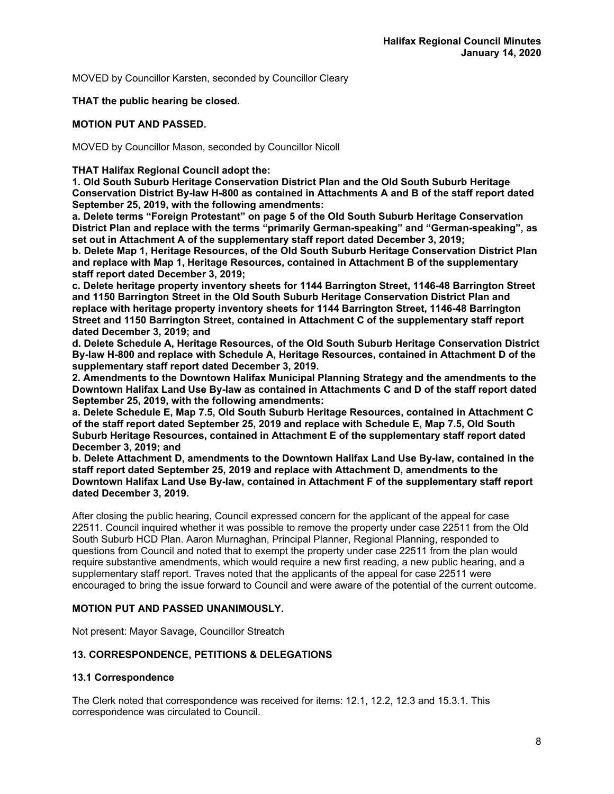MOVED by Councillor Karsten, seconded by Councillor Cleary

#### **THAT the public hearing be closed.**

# **MOTION PUT AND PASSED.**

MOVED by Councillor Mason, seconded by Councillor Nicoll

# **THAT Halifax Regional Council adopt the:**

**1. Old South Suburb Heritage Conservation District Plan and the Old South Suburb Heritage Conservation District By-law H-800 as contained in Attachments A and B of the staff report dated September 25, 2019, with the following amendments:** 

**a. Delete terms "Foreign Protestant" on page 5 of the Old South Suburb Heritage Conservation District Plan and replace with the terms "primarily German-speaking" and "German-speaking", as set out in Attachment A of the supplementary staff report dated December 3, 2019;** 

**b. Delete Map 1, Heritage Resources, of the Old South Suburb Heritage Conservation District Plan and replace with Map 1, Heritage Resources, contained in Attachment B of the supplementary staff report dated December 3, 2019;** 

**c. Delete heritage property inventory sheets for 1144 Barrington Street, 1146-48 Barrington Street and 1150 Barrington Street in the Old South Suburb Heritage Conservation District Plan and replace with heritage property inventory sheets for 1144 Barrington Street, 1146-48 Barrington Street and 1150 Barrington Street, contained in Attachment C of the supplementary staff report dated December 3, 2019; and** 

**d. Delete Schedule A, Heritage Resources, of the Old South Suburb Heritage Conservation District By-law H-800 and replace with Schedule A, Heritage Resources, contained in Attachment D of the supplementary staff report dated December 3, 2019.** 

**2. Amendments to the Downtown Halifax Municipal Planning Strategy and the amendments to the Downtown Halifax Land Use By-law as contained in Attachments C and D of the staff report dated September 25, 2019, with the following amendments:** 

**a. Delete Schedule E, Map 7.5, Old South Suburb Heritage Resources, contained in Attachment C of the staff report dated September 25, 2019 and replace with Schedule E, Map 7.5, Old South Suburb Heritage Resources, contained in Attachment E of the supplementary staff report dated December 3, 2019; and** 

**b. Delete Attachment D, amendments to the Downtown Halifax Land Use By-law, contained in the staff report dated September 25, 2019 and replace with Attachment D, amendments to the Downtown Halifax Land Use By-law, contained in Attachment F of the supplementary staff report dated December 3, 2019.** 

After closing the public hearing, Council expressed concern for the applicant of the appeal for case 22511. Council inquired whether it was possible to remove the property under case 22511 from the Old South Suburb HCD Plan. Aaron Murnaghan, Principal Planner, Regional Planning, responded to questions from Council and noted that to exempt the property under case 22511 from the plan would require substantive amendments, which would require a new first reading, a new public hearing, and a supplementary staff report. Traves noted that the applicants of the appeal for case 22511 were encouraged to bring the issue forward to Council and were aware of the potential of the current outcome.

# **MOTION PUT AND PASSED UNANIMOUSLY.**

Not present: Mayor Savage, Councillor Streatch

# **13. CORRESPONDENCE, PETITIONS & DELEGATIONS**

#### **13.1 Correspondence**

The Clerk noted that correspondence was received for items: 12.1, 12.2, 12.3 and 15.3.1. This correspondence was circulated to Council.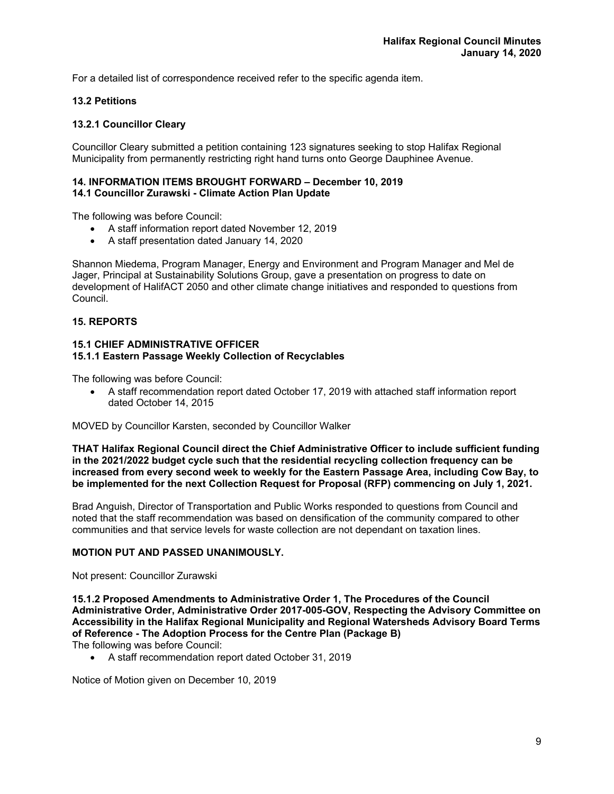For a detailed list of correspondence received refer to the specific agenda item.

#### **13.2 Petitions**

#### **13.2.1 Councillor Cleary**

Councillor Cleary submitted a petition containing 123 signatures seeking to stop Halifax Regional Municipality from permanently restricting right hand turns onto George Dauphinee Avenue.

#### **14. INFORMATION ITEMS BROUGHT FORWARD – December 10, 2019 14.1 Councillor Zurawski - Climate Action Plan Update**

The following was before Council:

- A staff information report dated November 12, 2019
- A staff presentation dated January 14, 2020

Shannon Miedema, Program Manager, Energy and Environment and Program Manager and Mel de Jager, Principal at Sustainability Solutions Group, gave a presentation on progress to date on development of HalifACT 2050 and other climate change initiatives and responded to questions from Council.

# **15. REPORTS**

#### **15.1 CHIEF ADMINISTRATIVE OFFICER 15.1.1 Eastern Passage Weekly Collection of Recyclables**

The following was before Council:

 A staff recommendation report dated October 17, 2019 with attached staff information report dated October 14, 2015

MOVED by Councillor Karsten, seconded by Councillor Walker

**THAT Halifax Regional Council direct the Chief Administrative Officer to include sufficient funding in the 2021/2022 budget cycle such that the residential recycling collection frequency can be increased from every second week to weekly for the Eastern Passage Area, including Cow Bay, to be implemented for the next Collection Request for Proposal (RFP) commencing on July 1, 2021.** 

Brad Anguish, Director of Transportation and Public Works responded to questions from Council and noted that the staff recommendation was based on densification of the community compared to other communities and that service levels for waste collection are not dependant on taxation lines.

# **MOTION PUT AND PASSED UNANIMOUSLY.**

Not present: Councillor Zurawski

**15.1.2 Proposed Amendments to Administrative Order 1, The Procedures of the Council Administrative Order, Administrative Order 2017-005-GOV, Respecting the Advisory Committee on Accessibility in the Halifax Regional Municipality and Regional Watersheds Advisory Board Terms of Reference - The Adoption Process for the Centre Plan (Package B)**  The following was before Council:

A staff recommendation report dated October 31, 2019

Notice of Motion given on December 10, 2019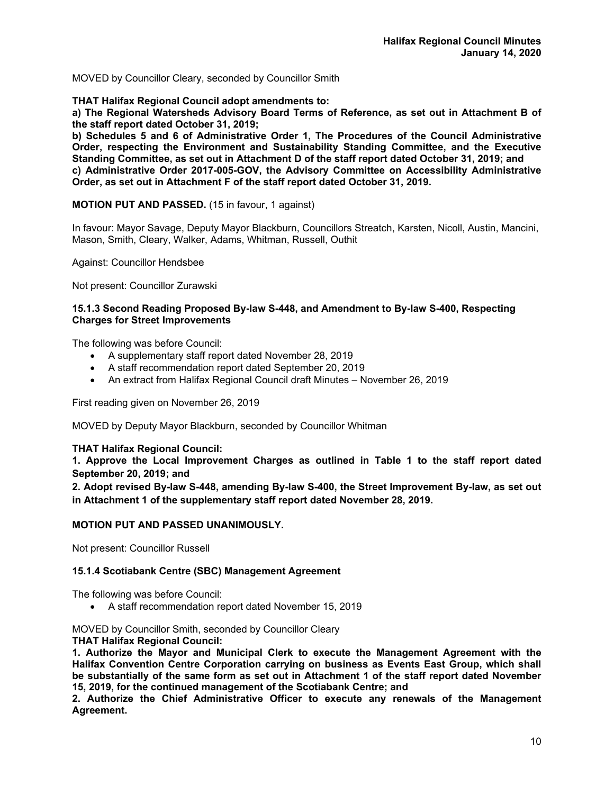MOVED by Councillor Cleary, seconded by Councillor Smith

**THAT Halifax Regional Council adopt amendments to:** 

**a) The Regional Watersheds Advisory Board Terms of Reference, as set out in Attachment B of the staff report dated October 31, 2019;** 

**b) Schedules 5 and 6 of Administrative Order 1, The Procedures of the Council Administrative Order, respecting the Environment and Sustainability Standing Committee, and the Executive Standing Committee, as set out in Attachment D of the staff report dated October 31, 2019; and c) Administrative Order 2017-005-GOV, the Advisory Committee on Accessibility Administrative Order, as set out in Attachment F of the staff report dated October 31, 2019.** 

# **MOTION PUT AND PASSED.** (15 in favour, 1 against)

In favour: Mayor Savage, Deputy Mayor Blackburn, Councillors Streatch, Karsten, Nicoll, Austin, Mancini, Mason, Smith, Cleary, Walker, Adams, Whitman, Russell, Outhit

Against: Councillor Hendsbee

Not present: Councillor Zurawski

#### **15.1.3 Second Reading Proposed By-law S-448, and Amendment to By-law S-400, Respecting Charges for Street Improvements**

The following was before Council:

- A supplementary staff report dated November 28, 2019
- A staff recommendation report dated September 20, 2019
- An extract from Halifax Regional Council draft Minutes November 26, 2019

First reading given on November 26, 2019

MOVED by Deputy Mayor Blackburn, seconded by Councillor Whitman

**THAT Halifax Regional Council:** 

**1. Approve the Local Improvement Charges as outlined in Table 1 to the staff report dated September 20, 2019; and** 

**2. Adopt revised By-law S-448, amending By-law S-400, the Street Improvement By-law, as set out in Attachment 1 of the supplementary staff report dated November 28, 2019.** 

#### **MOTION PUT AND PASSED UNANIMOUSLY.**

Not present: Councillor Russell

#### **15.1.4 Scotiabank Centre (SBC) Management Agreement**

The following was before Council:

A staff recommendation report dated November 15, 2019

MOVED by Councillor Smith, seconded by Councillor Cleary **THAT Halifax Regional Council:** 

**1. Authorize the Mayor and Municipal Clerk to execute the Management Agreement with the Halifax Convention Centre Corporation carrying on business as Events East Group, which shall be substantially of the same form as set out in Attachment 1 of the staff report dated November 15, 2019, for the continued management of the Scotiabank Centre; and** 

**2. Authorize the Chief Administrative Officer to execute any renewals of the Management Agreement.**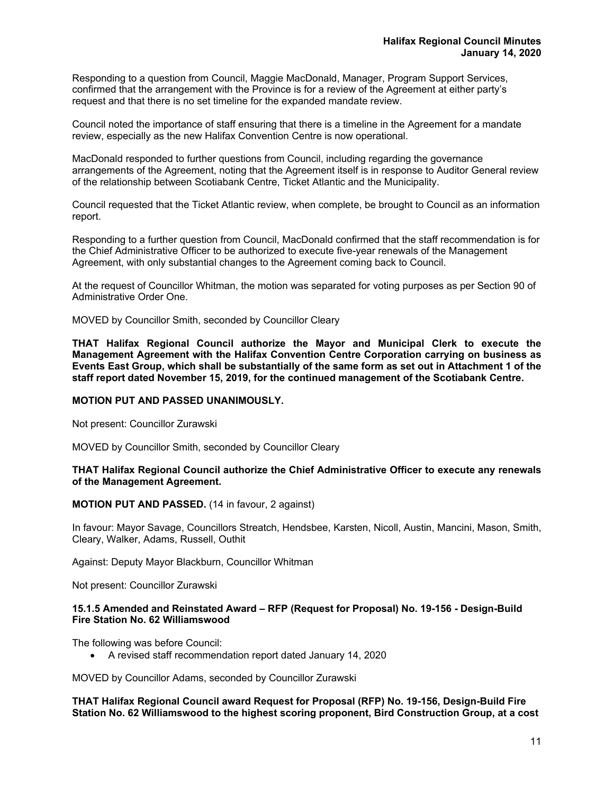Responding to a question from Council, Maggie MacDonald, Manager, Program Support Services, confirmed that the arrangement with the Province is for a review of the Agreement at either party's request and that there is no set timeline for the expanded mandate review.

Council noted the importance of staff ensuring that there is a timeline in the Agreement for a mandate review, especially as the new Halifax Convention Centre is now operational.

MacDonald responded to further questions from Council, including regarding the governance arrangements of the Agreement, noting that the Agreement itself is in response to Auditor General review of the relationship between Scotiabank Centre, Ticket Atlantic and the Municipality.

Council requested that the Ticket Atlantic review, when complete, be brought to Council as an information report.

Responding to a further question from Council, MacDonald confirmed that the staff recommendation is for the Chief Administrative Officer to be authorized to execute five-year renewals of the Management Agreement, with only substantial changes to the Agreement coming back to Council.

At the request of Councillor Whitman, the motion was separated for voting purposes as per Section 90 of Administrative Order One.

MOVED by Councillor Smith, seconded by Councillor Cleary

**THAT Halifax Regional Council authorize the Mayor and Municipal Clerk to execute the Management Agreement with the Halifax Convention Centre Corporation carrying on business as Events East Group, which shall be substantially of the same form as set out in Attachment 1 of the staff report dated November 15, 2019, for the continued management of the Scotiabank Centre.** 

#### **MOTION PUT AND PASSED UNANIMOUSLY.**

Not present: Councillor Zurawski

MOVED by Councillor Smith, seconded by Councillor Cleary

#### **THAT Halifax Regional Council authorize the Chief Administrative Officer to execute any renewals of the Management Agreement.**

#### **MOTION PUT AND PASSED.** (14 in favour, 2 against)

In favour: Mayor Savage, Councillors Streatch, Hendsbee, Karsten, Nicoll, Austin, Mancini, Mason, Smith, Cleary, Walker, Adams, Russell, Outhit

Against: Deputy Mayor Blackburn, Councillor Whitman

Not present: Councillor Zurawski

#### **15.1.5 Amended and Reinstated Award – RFP (Request for Proposal) No. 19-156 - Design-Build Fire Station No. 62 Williamswood**

The following was before Council:

A revised staff recommendation report dated January 14, 2020

MOVED by Councillor Adams, seconded by Councillor Zurawski

**THAT Halifax Regional Council award Request for Proposal (RFP) No. 19-156, Design-Build Fire Station No. 62 Williamswood to the highest scoring proponent, Bird Construction Group, at a cost**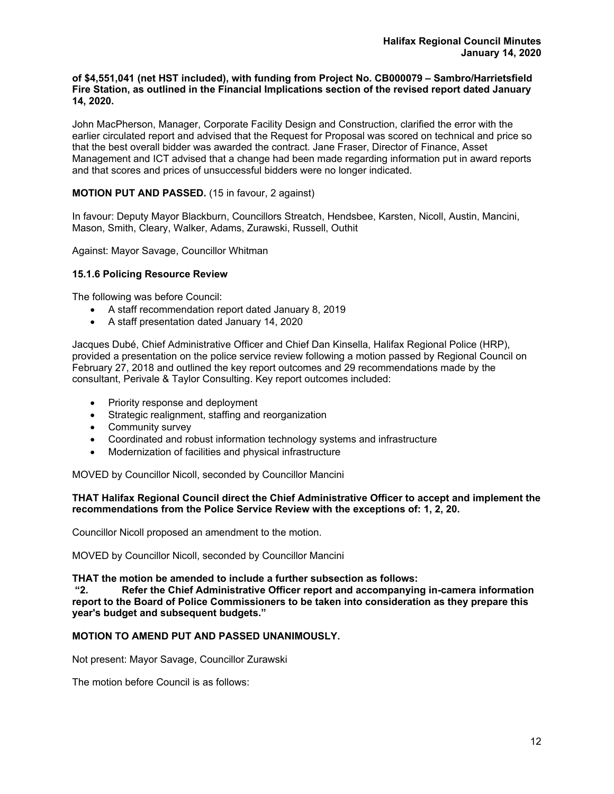#### **of \$4,551,041 (net HST included), with funding from Project No. CB000079 – Sambro/Harrietsfield Fire Station, as outlined in the Financial Implications section of the revised report dated January 14, 2020.**

John MacPherson, Manager, Corporate Facility Design and Construction, clarified the error with the earlier circulated report and advised that the Request for Proposal was scored on technical and price so that the best overall bidder was awarded the contract. Jane Fraser, Director of Finance, Asset Management and ICT advised that a change had been made regarding information put in award reports and that scores and prices of unsuccessful bidders were no longer indicated.

# **MOTION PUT AND PASSED.** (15 in favour, 2 against)

In favour: Deputy Mayor Blackburn, Councillors Streatch, Hendsbee, Karsten, Nicoll, Austin, Mancini, Mason, Smith, Cleary, Walker, Adams, Zurawski, Russell, Outhit

Against: Mayor Savage, Councillor Whitman

# **15.1.6 Policing Resource Review**

The following was before Council:

- A staff recommendation report dated January 8, 2019
- A staff presentation dated January 14, 2020

Jacques Dubé, Chief Administrative Officer and Chief Dan Kinsella, Halifax Regional Police (HRP), provided a presentation on the police service review following a motion passed by Regional Council on February 27, 2018 and outlined the key report outcomes and 29 recommendations made by the consultant, Perivale & Taylor Consulting. Key report outcomes included:

- Priority response and deployment
- Strategic realignment, staffing and reorganization
- Community survey
- Coordinated and robust information technology systems and infrastructure
- Modernization of facilities and physical infrastructure

MOVED by Councillor Nicoll, seconded by Councillor Mancini

#### **THAT Halifax Regional Council direct the Chief Administrative Officer to accept and implement the recommendations from the Police Service Review with the exceptions of: 1, 2, 20.**

Councillor Nicoll proposed an amendment to the motion.

MOVED by Councillor Nicoll, seconded by Councillor Mancini

**THAT the motion be amended to include a further subsection as follows:** 

**"2. Refer the Chief Administrative Officer report and accompanying in-camera information report to the Board of Police Commissioners to be taken into consideration as they prepare this year's budget and subsequent budgets."** 

# **MOTION TO AMEND PUT AND PASSED UNANIMOUSLY.**

Not present: Mayor Savage, Councillor Zurawski

The motion before Council is as follows: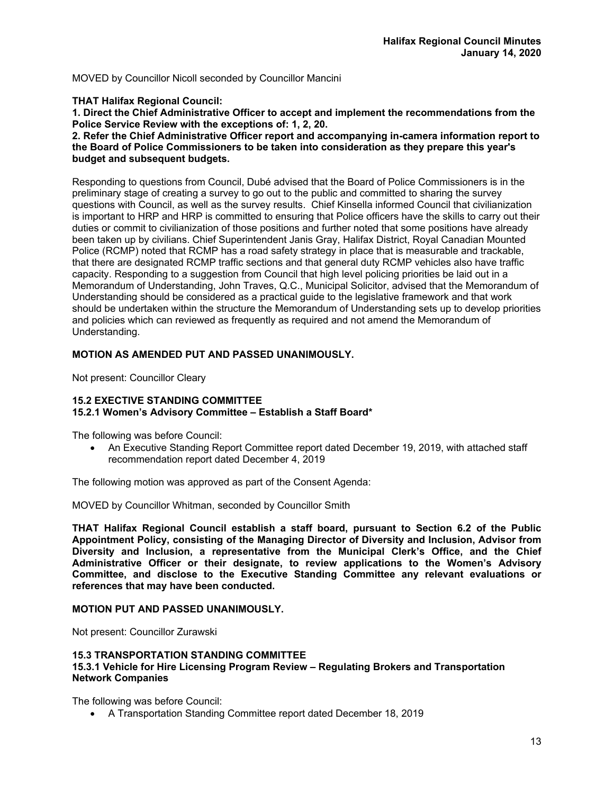MOVED by Councillor Nicoll seconded by Councillor Mancini

# **THAT Halifax Regional Council:**

**1. Direct the Chief Administrative Officer to accept and implement the recommendations from the Police Service Review with the exceptions of: 1, 2, 20.** 

#### **2. Refer the Chief Administrative Officer report and accompanying in-camera information report to the Board of Police Commissioners to be taken into consideration as they prepare this year's budget and subsequent budgets.**

Responding to questions from Council, Dubé advised that the Board of Police Commissioners is in the preliminary stage of creating a survey to go out to the public and committed to sharing the survey questions with Council, as well as the survey results. Chief Kinsella informed Council that civilianization is important to HRP and HRP is committed to ensuring that Police officers have the skills to carry out their duties or commit to civilianization of those positions and further noted that some positions have already been taken up by civilians. Chief Superintendent Janis Gray, Halifax District, Royal Canadian Mounted Police (RCMP) noted that RCMP has a road safety strategy in place that is measurable and trackable, that there are designated RCMP traffic sections and that general duty RCMP vehicles also have traffic capacity. Responding to a suggestion from Council that high level policing priorities be laid out in a Memorandum of Understanding, John Traves, Q.C., Municipal Solicitor, advised that the Memorandum of Understanding should be considered as a practical guide to the legislative framework and that work should be undertaken within the structure the Memorandum of Understanding sets up to develop priorities and policies which can reviewed as frequently as required and not amend the Memorandum of Understanding.

# **MOTION AS AMENDED PUT AND PASSED UNANIMOUSLY.**

Not present: Councillor Cleary

# **15.2 EXECTIVE STANDING COMMITTEE**

#### **15.2.1 Women's Advisory Committee – Establish a Staff Board\***

The following was before Council:

 An Executive Standing Report Committee report dated December 19, 2019, with attached staff recommendation report dated December 4, 2019

The following motion was approved as part of the Consent Agenda:

MOVED by Councillor Whitman, seconded by Councillor Smith

**THAT Halifax Regional Council establish a staff board, pursuant to Section 6.2 of the Public Appointment Policy, consisting of the Managing Director of Diversity and Inclusion, Advisor from Diversity and Inclusion, a representative from the Municipal Clerk's Office, and the Chief Administrative Officer or their designate, to review applications to the Women's Advisory Committee, and disclose to the Executive Standing Committee any relevant evaluations or references that may have been conducted.** 

#### **MOTION PUT AND PASSED UNANIMOUSLY.**

Not present: Councillor Zurawski

#### **15.3 TRANSPORTATION STANDING COMMITTEE 15.3.1 Vehicle for Hire Licensing Program Review – Regulating Brokers and Transportation Network Companies**

The following was before Council:

A Transportation Standing Committee report dated December 18, 2019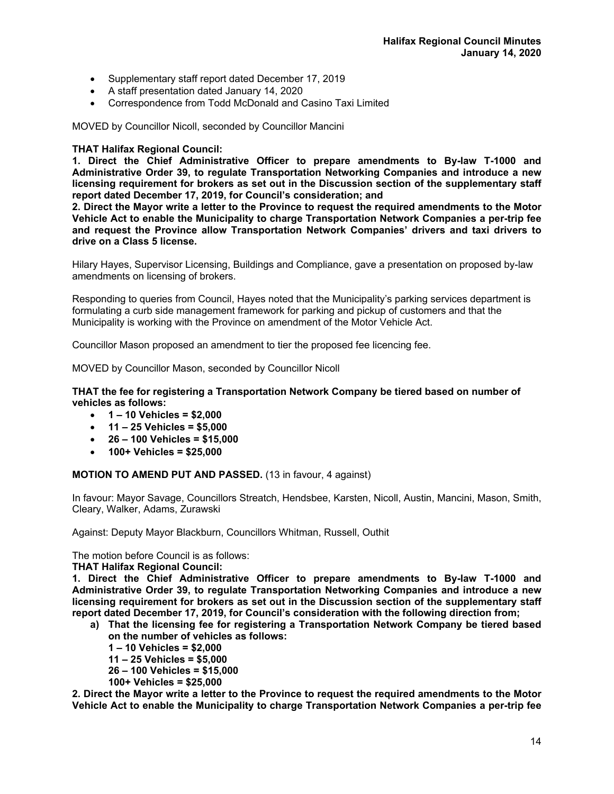- Supplementary staff report dated December 17, 2019
- A staff presentation dated January 14, 2020
- Correspondence from Todd McDonald and Casino Taxi Limited

MOVED by Councillor Nicoll, seconded by Councillor Mancini

# **THAT Halifax Regional Council:**

**1. Direct the Chief Administrative Officer to prepare amendments to By-law T-1000 and Administrative Order 39, to regulate Transportation Networking Companies and introduce a new licensing requirement for brokers as set out in the Discussion section of the supplementary staff report dated December 17, 2019, for Council's consideration; and** 

**2. Direct the Mayor write a letter to the Province to request the required amendments to the Motor Vehicle Act to enable the Municipality to charge Transportation Network Companies a per-trip fee and request the Province allow Transportation Network Companies' drivers and taxi drivers to drive on a Class 5 license.**

Hilary Hayes, Supervisor Licensing, Buildings and Compliance, gave a presentation on proposed by-law amendments on licensing of brokers.

Responding to queries from Council, Hayes noted that the Municipality's parking services department is formulating a curb side management framework for parking and pickup of customers and that the Municipality is working with the Province on amendment of the Motor Vehicle Act.

Councillor Mason proposed an amendment to tier the proposed fee licencing fee.

MOVED by Councillor Mason, seconded by Councillor Nicoll

#### **THAT the fee for registering a Transportation Network Company be tiered based on number of vehicles as follows:**

- **1 10 Vehicles = \$2,000**
- **11 25 Vehicles = \$5,000**
- **26 100 Vehicles = \$15,000**
- **100+ Vehicles = \$25,000**

**MOTION TO AMEND PUT AND PASSED.** (13 in favour, 4 against)

In favour: Mayor Savage, Councillors Streatch, Hendsbee, Karsten, Nicoll, Austin, Mancini, Mason, Smith, Cleary, Walker, Adams, Zurawski

Against: Deputy Mayor Blackburn, Councillors Whitman, Russell, Outhit

The motion before Council is as follows:

**THAT Halifax Regional Council:** 

**1. Direct the Chief Administrative Officer to prepare amendments to By-law T-1000 and Administrative Order 39, to regulate Transportation Networking Companies and introduce a new licensing requirement for brokers as set out in the Discussion section of the supplementary staff report dated December 17, 2019, for Council's consideration with the following direction from;** 

- **a) That the licensing fee for registering a Transportation Network Company be tiered based on the number of vehicles as follows:** 
	- **1 10 Vehicles = \$2,000**
	- **11 25 Vehicles = \$5,000**
	- **26 100 Vehicles = \$15,000**
	- **100+ Vehicles = \$25,000**

**2. Direct the Mayor write a letter to the Province to request the required amendments to the Motor Vehicle Act to enable the Municipality to charge Transportation Network Companies a per-trip fee**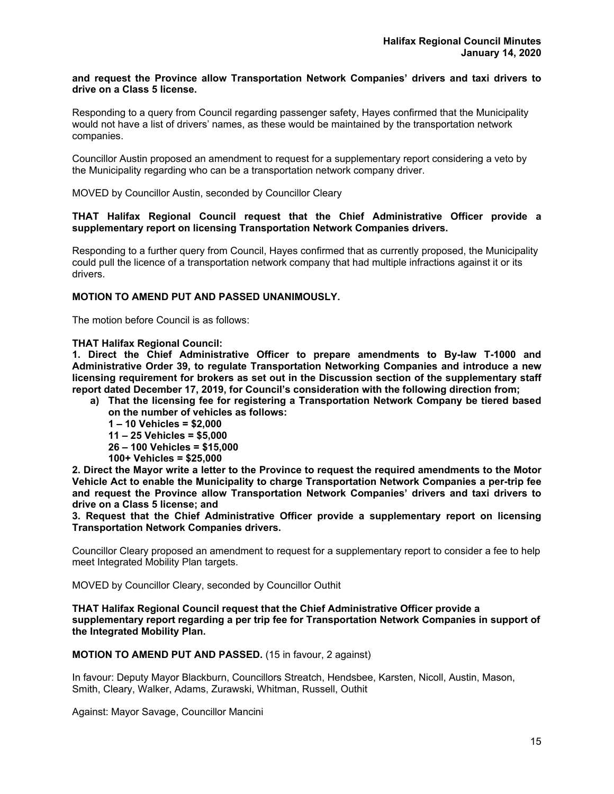#### **and request the Province allow Transportation Network Companies' drivers and taxi drivers to drive on a Class 5 license.**

Responding to a query from Council regarding passenger safety, Hayes confirmed that the Municipality would not have a list of drivers' names, as these would be maintained by the transportation network companies.

Councillor Austin proposed an amendment to request for a supplementary report considering a veto by the Municipality regarding who can be a transportation network company driver.

MOVED by Councillor Austin, seconded by Councillor Cleary

#### **THAT Halifax Regional Council request that the Chief Administrative Officer provide a supplementary report on licensing Transportation Network Companies drivers.**

Responding to a further query from Council, Hayes confirmed that as currently proposed, the Municipality could pull the licence of a transportation network company that had multiple infractions against it or its drivers.

# **MOTION TO AMEND PUT AND PASSED UNANIMOUSLY.**

The motion before Council is as follows:

**THAT Halifax Regional Council:** 

**1. Direct the Chief Administrative Officer to prepare amendments to By-law T-1000 and Administrative Order 39, to regulate Transportation Networking Companies and introduce a new licensing requirement for brokers as set out in the Discussion section of the supplementary staff report dated December 17, 2019, for Council's consideration with the following direction from;** 

- **a) That the licensing fee for registering a Transportation Network Company be tiered based on the number of vehicles as follows:** 
	- **1 10 Vehicles = \$2,000**
	- **11 25 Vehicles = \$5,000**
	- **26 100 Vehicles = \$15,000**
	- **100+ Vehicles = \$25,000**

**2. Direct the Mayor write a letter to the Province to request the required amendments to the Motor Vehicle Act to enable the Municipality to charge Transportation Network Companies a per-trip fee and request the Province allow Transportation Network Companies' drivers and taxi drivers to drive on a Class 5 license; and**

**3. Request that the Chief Administrative Officer provide a supplementary report on licensing Transportation Network Companies drivers.** 

Councillor Cleary proposed an amendment to request for a supplementary report to consider a fee to help meet Integrated Mobility Plan targets.

MOVED by Councillor Cleary, seconded by Councillor Outhit

**THAT Halifax Regional Council request that the Chief Administrative Officer provide a supplementary report regarding a per trip fee for Transportation Network Companies in support of the Integrated Mobility Plan.** 

**MOTION TO AMEND PUT AND PASSED.** (15 in favour, 2 against)

In favour: Deputy Mayor Blackburn, Councillors Streatch, Hendsbee, Karsten, Nicoll, Austin, Mason, Smith, Cleary, Walker, Adams, Zurawski, Whitman, Russell, Outhit

Against: Mayor Savage, Councillor Mancini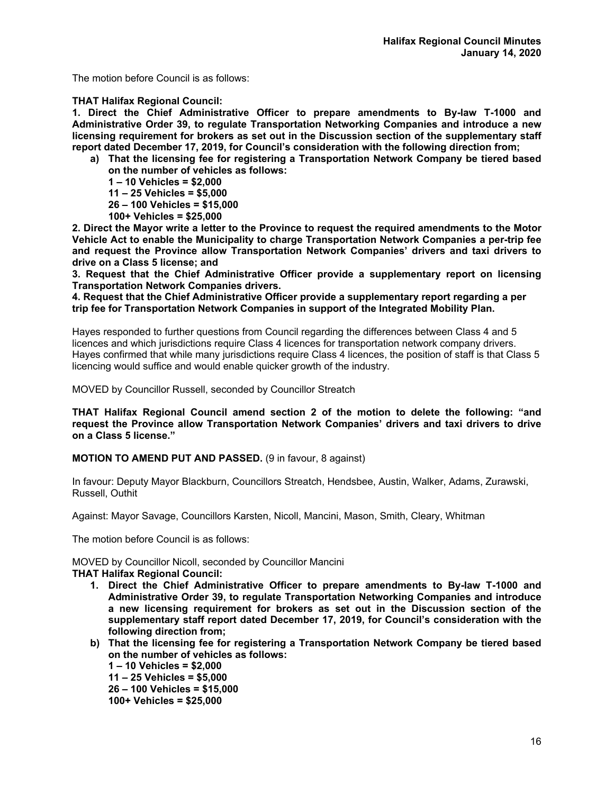The motion before Council is as follows:

# **THAT Halifax Regional Council:**

**1. Direct the Chief Administrative Officer to prepare amendments to By-law T-1000 and Administrative Order 39, to regulate Transportation Networking Companies and introduce a new licensing requirement for brokers as set out in the Discussion section of the supplementary staff report dated December 17, 2019, for Council's consideration with the following direction from;** 

- **a) That the licensing fee for registering a Transportation Network Company be tiered based on the number of vehicles as follows:** 
	- **1 10 Vehicles = \$2,000**
	- **11 25 Vehicles = \$5,000**
	- **26 100 Vehicles = \$15,000**
	- **100+ Vehicles = \$25,000**

**2. Direct the Mayor write a letter to the Province to request the required amendments to the Motor Vehicle Act to enable the Municipality to charge Transportation Network Companies a per-trip fee and request the Province allow Transportation Network Companies' drivers and taxi drivers to drive on a Class 5 license; and**

**3. Request that the Chief Administrative Officer provide a supplementary report on licensing Transportation Network Companies drivers.** 

**4. Request that the Chief Administrative Officer provide a supplementary report regarding a per trip fee for Transportation Network Companies in support of the Integrated Mobility Plan.** 

Hayes responded to further questions from Council regarding the differences between Class 4 and 5 licences and which jurisdictions require Class 4 licences for transportation network company drivers. Hayes confirmed that while many jurisdictions require Class 4 licences, the position of staff is that Class 5 licencing would suffice and would enable quicker growth of the industry.

MOVED by Councillor Russell, seconded by Councillor Streatch

**THAT Halifax Regional Council amend section 2 of the motion to delete the following: "and request the Province allow Transportation Network Companies' drivers and taxi drivers to drive on a Class 5 license."** 

**MOTION TO AMEND PUT AND PASSED.** (9 in favour, 8 against)

In favour: Deputy Mayor Blackburn, Councillors Streatch, Hendsbee, Austin, Walker, Adams, Zurawski, Russell, Outhit

Against: Mayor Savage, Councillors Karsten, Nicoll, Mancini, Mason, Smith, Cleary, Whitman

The motion before Council is as follows:

MOVED by Councillor Nicoll, seconded by Councillor Mancini

**THAT Halifax Regional Council:** 

- **1. Direct the Chief Administrative Officer to prepare amendments to By-law T-1000 and Administrative Order 39, to regulate Transportation Networking Companies and introduce a new licensing requirement for brokers as set out in the Discussion section of the supplementary staff report dated December 17, 2019, for Council's consideration with the following direction from;**
- **b) That the licensing fee for registering a Transportation Network Company be tiered based on the number of vehicles as follows:**

**1 – 10 Vehicles = \$2,000** 

**11 – 25 Vehicles = \$5,000** 

**26 – 100 Vehicles = \$15,000** 

**100+ Vehicles = \$25,000**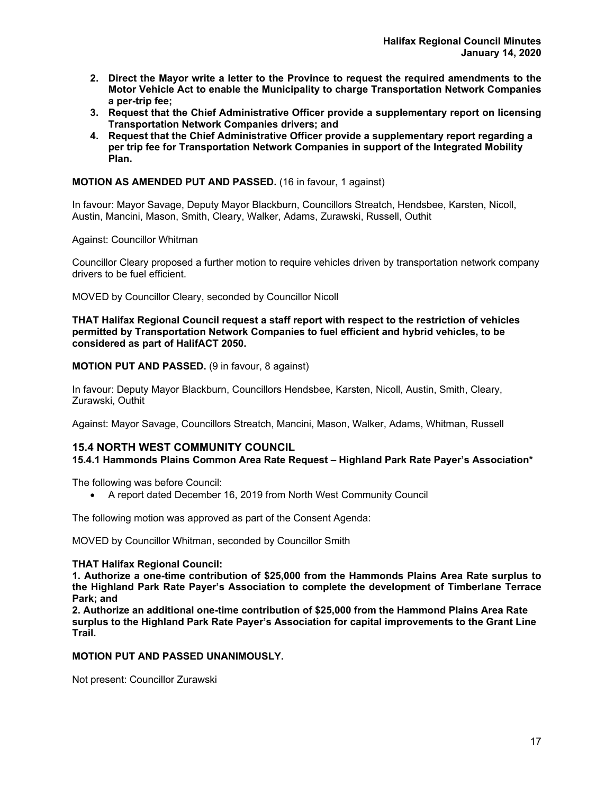- **2. Direct the Mayor write a letter to the Province to request the required amendments to the Motor Vehicle Act to enable the Municipality to charge Transportation Network Companies a per-trip fee;**
- **3. Request that the Chief Administrative Officer provide a supplementary report on licensing Transportation Network Companies drivers; and**
- **4. Request that the Chief Administrative Officer provide a supplementary report regarding a per trip fee for Transportation Network Companies in support of the Integrated Mobility Plan.**

# **MOTION AS AMENDED PUT AND PASSED.** (16 in favour, 1 against)

In favour: Mayor Savage, Deputy Mayor Blackburn, Councillors Streatch, Hendsbee, Karsten, Nicoll, Austin, Mancini, Mason, Smith, Cleary, Walker, Adams, Zurawski, Russell, Outhit

Against: Councillor Whitman

Councillor Cleary proposed a further motion to require vehicles driven by transportation network company drivers to be fuel efficient.

MOVED by Councillor Cleary, seconded by Councillor Nicoll

**THAT Halifax Regional Council request a staff report with respect to the restriction of vehicles permitted by Transportation Network Companies to fuel efficient and hybrid vehicles, to be considered as part of HalifACT 2050.** 

**MOTION PUT AND PASSED.** (9 in favour, 8 against)

In favour: Deputy Mayor Blackburn, Councillors Hendsbee, Karsten, Nicoll, Austin, Smith, Cleary, Zurawski, Outhit

Against: Mayor Savage, Councillors Streatch, Mancini, Mason, Walker, Adams, Whitman, Russell

# **15.4 NORTH WEST COMMUNITY COUNCIL**

# **15.4.1 Hammonds Plains Common Area Rate Request – Highland Park Rate Payer's Association\***

The following was before Council:

A report dated December 16, 2019 from North West Community Council

The following motion was approved as part of the Consent Agenda:

MOVED by Councillor Whitman, seconded by Councillor Smith

#### **THAT Halifax Regional Council:**

**1. Authorize a one-time contribution of \$25,000 from the Hammonds Plains Area Rate surplus to the Highland Park Rate Payer's Association to complete the development of Timberlane Terrace Park; and** 

**2. Authorize an additional one-time contribution of \$25,000 from the Hammond Plains Area Rate surplus to the Highland Park Rate Payer's Association for capital improvements to the Grant Line Trail.** 

# **MOTION PUT AND PASSED UNANIMOUSLY.**

Not present: Councillor Zurawski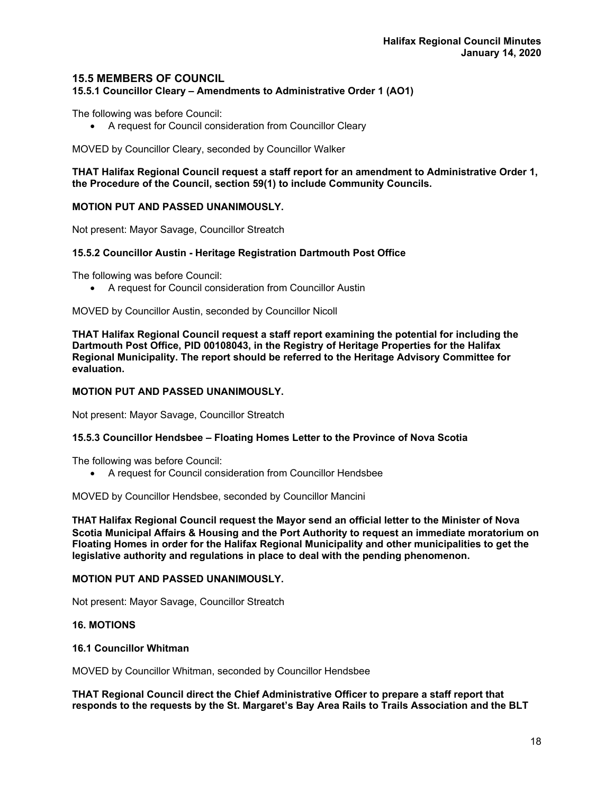# **15.5 MEMBERS OF COUNCIL**

**15.5.1 Councillor Cleary – Amendments to Administrative Order 1 (AO1)** 

The following was before Council:

A request for Council consideration from Councillor Cleary

MOVED by Councillor Cleary, seconded by Councillor Walker

**THAT Halifax Regional Council request a staff report for an amendment to Administrative Order 1, the Procedure of the Council, section 59(1) to include Community Councils.** 

#### **MOTION PUT AND PASSED UNANIMOUSLY.**

Not present: Mayor Savage, Councillor Streatch

#### **15.5.2 Councillor Austin - Heritage Registration Dartmouth Post Office**

The following was before Council:

A request for Council consideration from Councillor Austin

MOVED by Councillor Austin, seconded by Councillor Nicoll

**THAT Halifax Regional Council request a staff report examining the potential for including the Dartmouth Post Office, PID 00108043, in the Registry of Heritage Properties for the Halifax Regional Municipality. The report should be referred to the Heritage Advisory Committee for evaluation.** 

#### **MOTION PUT AND PASSED UNANIMOUSLY.**

Not present: Mayor Savage, Councillor Streatch

#### **15.5.3 Councillor Hendsbee – Floating Homes Letter to the Province of Nova Scotia**

The following was before Council:

A request for Council consideration from Councillor Hendsbee

MOVED by Councillor Hendsbee, seconded by Councillor Mancini

**THAT Halifax Regional Council request the Mayor send an official letter to the Minister of Nova Scotia Municipal Affairs & Housing and the Port Authority to request an immediate moratorium on Floating Homes in order for the Halifax Regional Municipality and other municipalities to get the legislative authority and regulations in place to deal with the pending phenomenon.** 

### **MOTION PUT AND PASSED UNANIMOUSLY.**

Not present: Mayor Savage, Councillor Streatch

#### **16. MOTIONS**

#### **16.1 Councillor Whitman**

MOVED by Councillor Whitman, seconded by Councillor Hendsbee

**THAT Regional Council direct the Chief Administrative Officer to prepare a staff report that responds to the requests by the St. Margaret's Bay Area Rails to Trails Association and the BLT**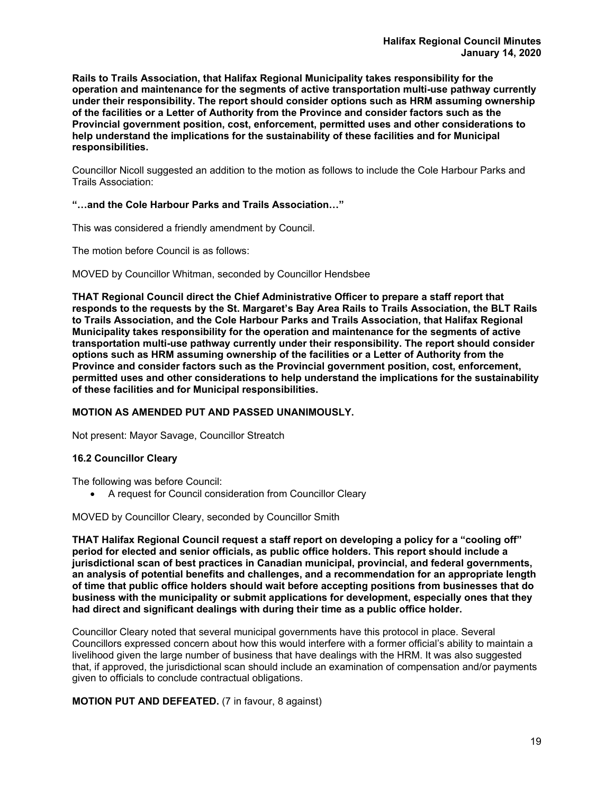**Rails to Trails Association, that Halifax Regional Municipality takes responsibility for the operation and maintenance for the segments of active transportation multi-use pathway currently under their responsibility. The report should consider options such as HRM assuming ownership of the facilities or a Letter of Authority from the Province and consider factors such as the Provincial government position, cost, enforcement, permitted uses and other considerations to help understand the implications for the sustainability of these facilities and for Municipal responsibilities.** 

Councillor Nicoll suggested an addition to the motion as follows to include the Cole Harbour Parks and Trails Association:

# **"…and the Cole Harbour Parks and Trails Association…"**

This was considered a friendly amendment by Council.

The motion before Council is as follows:

MOVED by Councillor Whitman, seconded by Councillor Hendsbee

**THAT Regional Council direct the Chief Administrative Officer to prepare a staff report that responds to the requests by the St. Margaret's Bay Area Rails to Trails Association, the BLT Rails to Trails Association, and the Cole Harbour Parks and Trails Association, that Halifax Regional Municipality takes responsibility for the operation and maintenance for the segments of active transportation multi-use pathway currently under their responsibility. The report should consider options such as HRM assuming ownership of the facilities or a Letter of Authority from the Province and consider factors such as the Provincial government position, cost, enforcement, permitted uses and other considerations to help understand the implications for the sustainability of these facilities and for Municipal responsibilities.** 

#### **MOTION AS AMENDED PUT AND PASSED UNANIMOUSLY.**

Not present: Mayor Savage, Councillor Streatch

#### **16.2 Councillor Cleary**

The following was before Council:

A request for Council consideration from Councillor Cleary

MOVED by Councillor Cleary, seconded by Councillor Smith

**THAT Halifax Regional Council request a staff report on developing a policy for a "cooling off" period for elected and senior officials, as public office holders. This report should include a jurisdictional scan of best practices in Canadian municipal, provincial, and federal governments, an analysis of potential benefits and challenges, and a recommendation for an appropriate length of time that public office holders should wait before accepting positions from businesses that do business with the municipality or submit applications for development, especially ones that they had direct and significant dealings with during their time as a public office holder.** 

Councillor Cleary noted that several municipal governments have this protocol in place. Several Councillors expressed concern about how this would interfere with a former official's ability to maintain a livelihood given the large number of business that have dealings with the HRM. It was also suggested that, if approved, the jurisdictional scan should include an examination of compensation and/or payments given to officials to conclude contractual obligations.

**MOTION PUT AND DEFEATED.** (7 in favour, 8 against)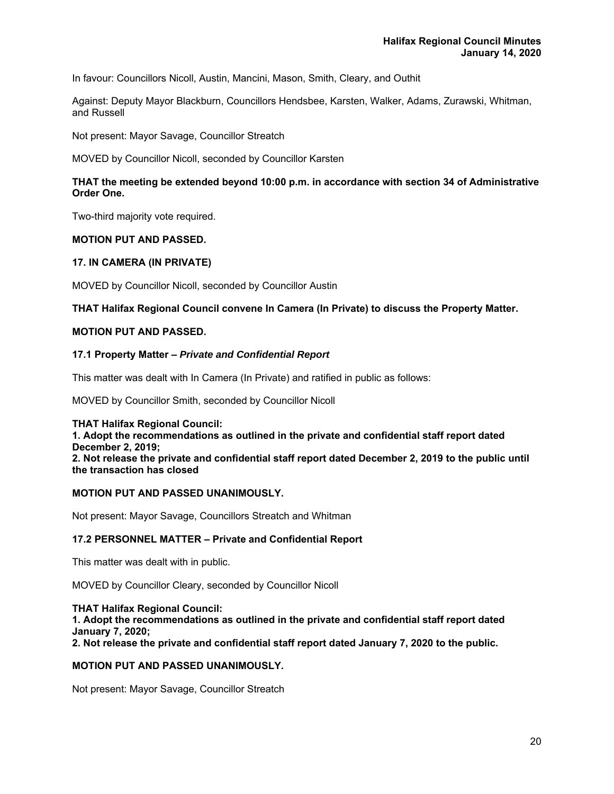In favour: Councillors Nicoll, Austin, Mancini, Mason, Smith, Cleary, and Outhit

Against: Deputy Mayor Blackburn, Councillors Hendsbee, Karsten, Walker, Adams, Zurawski, Whitman, and Russell

Not present: Mayor Savage, Councillor Streatch

MOVED by Councillor Nicoll, seconded by Councillor Karsten

# **THAT the meeting be extended beyond 10:00 p.m. in accordance with section 34 of Administrative Order One.**

Two-third majority vote required.

# **MOTION PUT AND PASSED.**

#### **17. IN CAMERA (IN PRIVATE)**

MOVED by Councillor Nicoll, seconded by Councillor Austin

#### **THAT Halifax Regional Council convene In Camera (In Private) to discuss the Property Matter.**

# **MOTION PUT AND PASSED.**

#### **17.1 Property Matter –** *Private and Confidential Report*

This matter was dealt with In Camera (In Private) and ratified in public as follows:

MOVED by Councillor Smith, seconded by Councillor Nicoll

#### **THAT Halifax Regional Council:**

**1. Adopt the recommendations as outlined in the private and confidential staff report dated December 2, 2019; 2. Not release the private and confidential staff report dated December 2, 2019 to the public until the transaction has closed** 

#### **MOTION PUT AND PASSED UNANIMOUSLY.**

Not present: Mayor Savage, Councillors Streatch and Whitman

#### **17.2 PERSONNEL MATTER – Private and Confidential Report**

This matter was dealt with in public.

MOVED by Councillor Cleary, seconded by Councillor Nicoll

**THAT Halifax Regional Council: 1. Adopt the recommendations as outlined in the private and confidential staff report dated January 7, 2020; 2. Not release the private and confidential staff report dated January 7, 2020 to the public.** 

#### **MOTION PUT AND PASSED UNANIMOUSLY.**

Not present: Mayor Savage, Councillor Streatch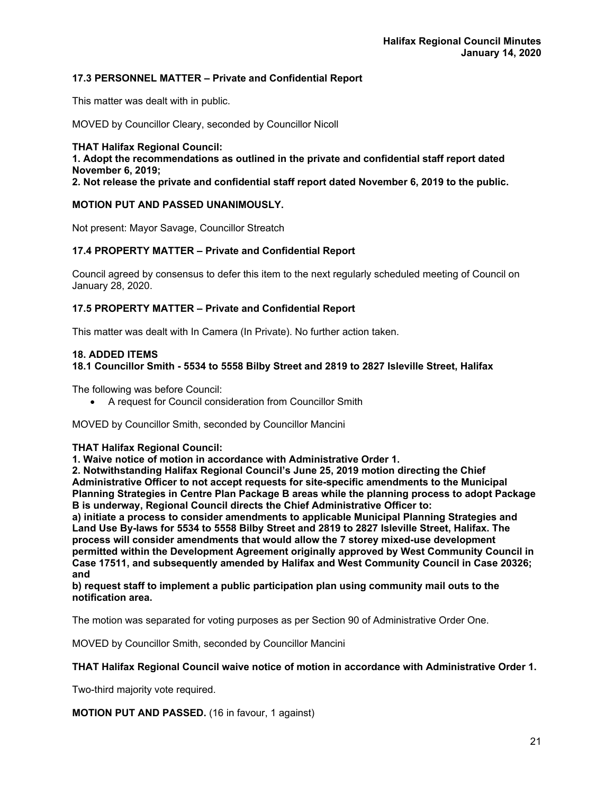# **17.3 PERSONNEL MATTER – Private and Confidential Report**

This matter was dealt with in public.

MOVED by Councillor Cleary, seconded by Councillor Nicoll

**THAT Halifax Regional Council: 1. Adopt the recommendations as outlined in the private and confidential staff report dated November 6, 2019;** 

**2. Not release the private and confidential staff report dated November 6, 2019 to the public.** 

# **MOTION PUT AND PASSED UNANIMOUSLY.**

Not present: Mayor Savage, Councillor Streatch

# **17.4 PROPERTY MATTER – Private and Confidential Report**

Council agreed by consensus to defer this item to the next regularly scheduled meeting of Council on January 28, 2020.

# **17.5 PROPERTY MATTER – Private and Confidential Report**

This matter was dealt with In Camera (In Private). No further action taken.

#### **18. ADDED ITEMS**

# **18.1 Councillor Smith - 5534 to 5558 Bilby Street and 2819 to 2827 Isleville Street, Halifax**

The following was before Council:

A request for Council consideration from Councillor Smith

MOVED by Councillor Smith, seconded by Councillor Mancini

#### **THAT Halifax Regional Council:**

**1. Waive notice of motion in accordance with Administrative Order 1.** 

**2. Notwithstanding Halifax Regional Council's June 25, 2019 motion directing the Chief Administrative Officer to not accept requests for site-specific amendments to the Municipal Planning Strategies in Centre Plan Package B areas while the planning process to adopt Package B is underway, Regional Council directs the Chief Administrative Officer to:** 

**a) initiate a process to consider amendments to applicable Municipal Planning Strategies and Land Use By-laws for 5534 to 5558 Bilby Street and 2819 to 2827 Isleville Street, Halifax. The process will consider amendments that would allow the 7 storey mixed-use development permitted within the Development Agreement originally approved by West Community Council in Case 17511, and subsequently amended by Halifax and West Community Council in Case 20326; and** 

**b) request staff to implement a public participation plan using community mail outs to the notification area.** 

The motion was separated for voting purposes as per Section 90 of Administrative Order One.

MOVED by Councillor Smith, seconded by Councillor Mancini

#### **THAT Halifax Regional Council waive notice of motion in accordance with Administrative Order 1.**

Two-third majority vote required.

# **MOTION PUT AND PASSED.** (16 in favour, 1 against)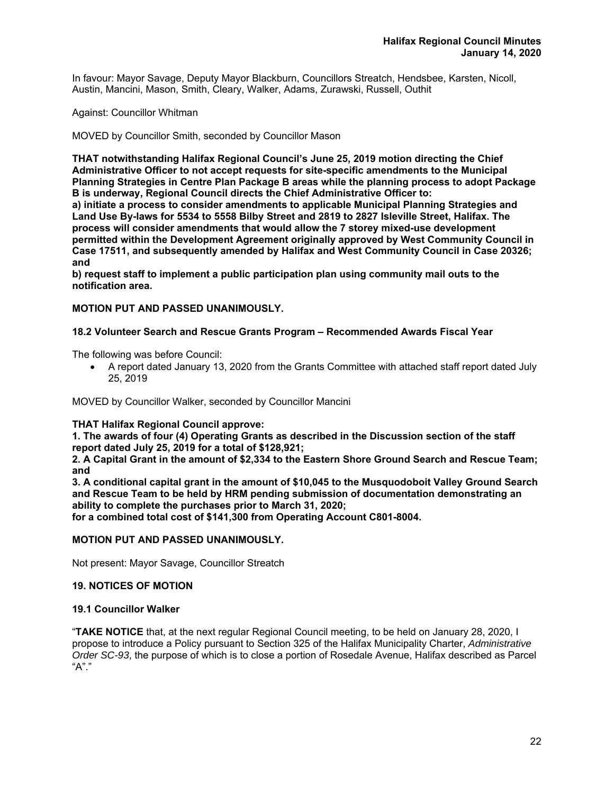In favour: Mayor Savage, Deputy Mayor Blackburn, Councillors Streatch, Hendsbee, Karsten, Nicoll, Austin, Mancini, Mason, Smith, Cleary, Walker, Adams, Zurawski, Russell, Outhit

Against: Councillor Whitman

MOVED by Councillor Smith, seconded by Councillor Mason

**THAT notwithstanding Halifax Regional Council's June 25, 2019 motion directing the Chief Administrative Officer to not accept requests for site-specific amendments to the Municipal Planning Strategies in Centre Plan Package B areas while the planning process to adopt Package B is underway, Regional Council directs the Chief Administrative Officer to:** 

**a) initiate a process to consider amendments to applicable Municipal Planning Strategies and Land Use By-laws for 5534 to 5558 Bilby Street and 2819 to 2827 Isleville Street, Halifax. The process will consider amendments that would allow the 7 storey mixed-use development permitted within the Development Agreement originally approved by West Community Council in Case 17511, and subsequently amended by Halifax and West Community Council in Case 20326; and** 

**b) request staff to implement a public participation plan using community mail outs to the notification area.** 

# **MOTION PUT AND PASSED UNANIMOUSLY.**

# **18.2 Volunteer Search and Rescue Grants Program – Recommended Awards Fiscal Year**

The following was before Council:

 A report dated January 13, 2020 from the Grants Committee with attached staff report dated July 25, 2019

MOVED by Councillor Walker, seconded by Councillor Mancini

# **THAT Halifax Regional Council approve:**

**1. The awards of four (4) Operating Grants as described in the Discussion section of the staff report dated July 25, 2019 for a total of \$128,921;** 

**2. A Capital Grant in the amount of \$2,334 to the Eastern Shore Ground Search and Rescue Team; and** 

**3. A conditional capital grant in the amount of \$10,045 to the Musquodoboit Valley Ground Search and Rescue Team to be held by HRM pending submission of documentation demonstrating an ability to complete the purchases prior to March 31, 2020;** 

**for a combined total cost of \$141,300 from Operating Account C801-8004.** 

#### **MOTION PUT AND PASSED UNANIMOUSLY.**

Not present: Mayor Savage, Councillor Streatch

# **19. NOTICES OF MOTION**

#### **19.1 Councillor Walker**

"**TAKE NOTICE** that, at the next regular Regional Council meeting, to be held on January 28, 2020, I propose to introduce a Policy pursuant to Section 325 of the Halifax Municipality Charter, *Administrative Order SC-93*, the purpose of which is to close a portion of Rosedale Avenue, Halifax described as Parcel "A"."